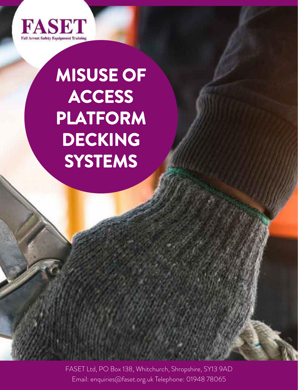

# **MISUSE OF ACCESS PLATFORM DECKING SYSTEMS**

FASET Ltd, PO Box 138, Whitchurch, Shropshire, SY13 9AD Email: enquiries@faset.org.uk Telephone: 01948 78065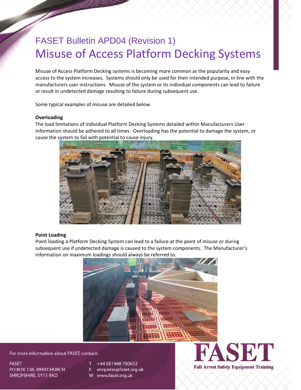## FASET Bulletin APD04 (Revision 1) Misuse of Access Platform Decking Systems

Misuse of Access Platform Decking systems is becoming more common as the popularity and easy access to the system increases. Systems should only be used for their intended purpose, in line with the manufacturers user instructions. Misuse of the system or its individual components can lead to failure or result in undetected damage resulting to failure during subsequent use.

Some typical examples of misuse are detailed below.

#### **Overloading**

The load limitations of individual Platform Decking Systems detailed within Manufacturers User Information should be adhered to all times. Overloading has the potential to damage the system, or cause the system to fail with potential to cause injury.



#### **Point Loading**

Point loading a Platform Decking System can lead to a failure at the point of misuse or during subsequent use if undetected damage is caused to the system components. The Manufacturer's information on maximum loadings should always be referred to.



For more information about FASET, contact:

**FASET** PO BOX 138, WHITCHURCH SHROPSHIRE. SY13 9AD

- +44 (0) 1948 780652
- enquiries@faset.org.uk E.
- W www.faset.org.uk



**Fall Arrest Safety Equipment Training**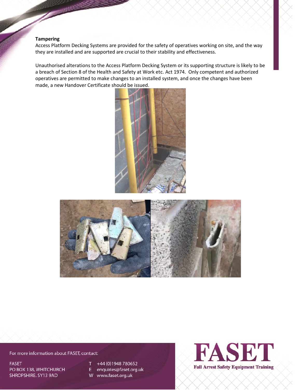#### **Tampering**

Access Platform Decking Systems are provided for the safety of operatives working on site, and the way they are installed and are supported are crucial to their stability and effectiveness.

Unauthorised alterations to the Access Platform Decking System or its supporting structure is likely to be a breach of Section 8 of the Health and Safety at Work etc. Act 1974. Only competent and authorized operatives are permitted to make changes to an installed system, and once the changes have been made, a new Handover Certificate should be issued.





For more information about FASET, contact:

**FASET** PO BOX 138, WHITCHURCH SHROPSHIRE. SY13 9AD

- +44 (0) 1948 780652 Τ
- E enquiries@faset.org.uk
- W www.faset.org.uk